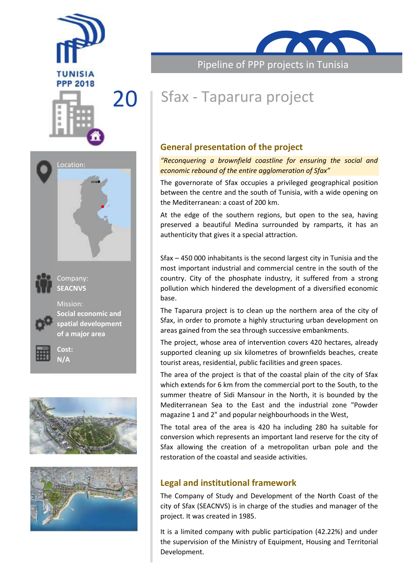





Company: **SEACNVS**



Mission: **Social economic and spatial development of a major area**









Pipeline of PPP projects in Tunisia

# 20 Sfax - Taparura project

# **General presentation of the project**

#### *"Reconquering a brownfield coastline for ensuring the social and economic rebound of the entire agglomeration of Sfax"*

The governorate of Sfax occupies a privileged geographical position between the centre and the south of Tunisia, with a wide opening on the Mediterranean: a coast of 200 km.

At the edge of the southern regions, but open to the sea, having preserved a beautiful Medina surrounded by ramparts, it has an authenticity that gives it a special attraction.

Sfax – 450 000 inhabitants is the second largest city in Tunisia and the most important industrial and commercial centre in the south of the country. City of the phosphate industry, it suffered from a strong pollution which hindered the development of a diversified economic base.

The Taparura project is to clean up the northern area of the city of Sfax, in order to promote a highly structuring urban development on areas gained from the sea through successive embankments.

The project, whose area of intervention covers 420 hectares, already supported cleaning up six kilometres of brownfields beaches, create tourist areas, residential, public facilities and green spaces.

The area of the project is that of the coastal plain of the city of Sfax which extends for 6 km from the commercial port to the South, to the summer theatre of Sidi Mansour in the North, it is bounded by the Mediterranean Sea to the East and the industrial zone "Powder magazine 1 and 2" and popular neighbourhoods in the West,

The total area of the area is 420 ha including 280 ha suitable for conversion which represents an important land reserve for the city of Sfax allowing the creation of a metropolitan urban pole and the restoration of the coastal and seaside activities.

# **Legal and institutional framework**

The Company of Study and Development of the North Coast of the city of Sfax (SEACNVS) is in charge of the studies and manager of the project. It was created in 1985.

It is a limited company with public participation (42.22%) and under the supervision of the Ministry of Equipment, Housing and Territorial Development.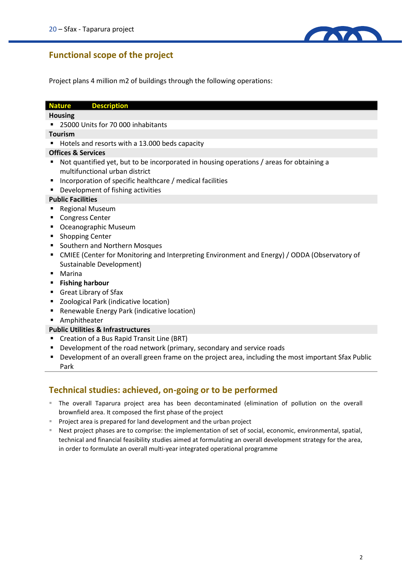

# **Functional scope of the project**

Project plans 4 million m2 of buildings through the following operations:

#### **Nature Description**

#### **Housing**

■ 25000 Units for 70 000 inhabitants

#### **Tourism**

Hotels and resorts with a 13.000 beds capacity

#### **Offices & Services**

- Not quantified yet, but to be incorporated in housing operations / areas for obtaining a multifunctional urban district
- **Incorporation of specific healthcare / medical facilities**
- **•** Development of fishing activities

#### **Public Facilities**

- Regional Museum
- Congress Center
- Oceanographic Museum
- **Shopping Center**
- Southern and Northern Mosques
- CMIEE (Center for Monitoring and Interpreting Environment and Energy) / ODDA (Observatory of Sustainable Development)
- Marina
- **Fishing harbour**
- Great Library of Sfax
- Zoological Park (indicative location)
- Renewable Energy Park (indicative location)
- **Amphitheater**

#### **Public Utilities & Infrastructures**

- Creation of a Bus Rapid Transit Line (BRT)
- **•** Development of the road network (primary, secondary and service roads
- **Development of an overall green frame on the project area, including the most important Sfax Public** Park

## **Technical studies: achieved, on-going or to be performed**

- The overall Taparura project area has been decontaminated (elimination of pollution on the overall brownfield area. It composed the first phase of the project
- Project area is prepared for land development and the urban project
- Next project phases are to comprise: the implementation of set of social, economic, environmental, spatial, technical and financial feasibility studies aimed at formulating an overall development strategy for the area, in order to formulate an overall multi-year integrated operational programme